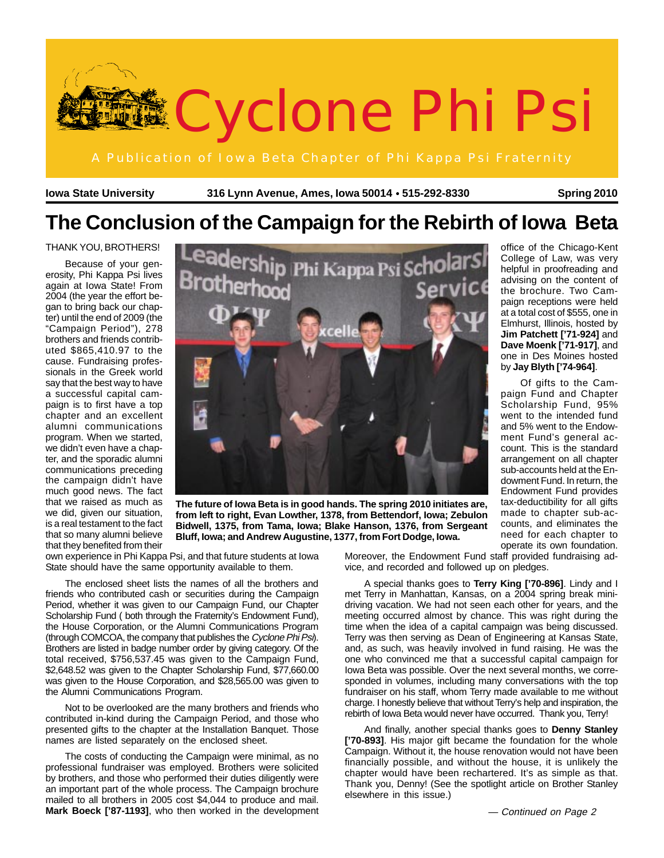

**Iowa State University 316 Lynn Avenue, Ames, Iowa 50014 515-292-8330** ● **Spring 2010**

# **The Conclusion of the Campaign for the Rebirth of Iowa Beta**

#### THANK YOU, BROTHERS!

Because of your generosity, Phi Kappa Psi lives again at Iowa State! From 2004 (the year the effort began to bring back our chapter) until the end of 2009 (the "Campaign Period"), 278 brothers and friends contributed \$865,410.97 to the cause. Fundraising professionals in the Greek world say that the best way to have a successful capital campaign is to first have a top chapter and an excellent alumni communications program. When we started, we didn't even have a chapter, and the sporadic alumni communications preceding the campaign didn't have much good news. The fact that we raised as much as we did, given our situation, is a real testament to the fact that so many alumni believe that they benefited from their



**The future of Iowa Beta is in good hands. The spring 2010 initiates are, from left to right, Evan Lowther, 1378, from Bettendorf, Iowa; Zebulon Bidwell, 1375, from Tama, Iowa; Blake Hanson, 1376, from Sergeant Bluff, Iowa; and Andrew Augustine, 1377, from Fort Dodge, Iowa.**

own experience in Phi Kappa Psi, and that future students at Iowa State should have the same opportunity available to them.

The enclosed sheet lists the names of all the brothers and friends who contributed cash or securities during the Campaign Period, whether it was given to our Campaign Fund, our Chapter Scholarship Fund ( both through the Fraternity's Endowment Fund), the House Corporation, or the Alumni Communications Program (through COMCOA, the company that publishes the Cyclone Phi Psi). Brothers are listed in badge number order by giving category. Of the total received, \$756,537.45 was given to the Campaign Fund, \$2,648.52 was given to the Chapter Scholarship Fund, \$77,660.00 was given to the House Corporation, and \$28,565.00 was given to the Alumni Communications Program.

Not to be overlooked are the many brothers and friends who contributed in-kind during the Campaign Period, and those who presented gifts to the chapter at the Installation Banquet. Those names are listed separately on the enclosed sheet.

The costs of conducting the Campaign were minimal, as no professional fundraiser was employed. Brothers were solicited by brothers, and those who performed their duties diligently were an important part of the whole process. The Campaign brochure mailed to all brothers in 2005 cost \$4,044 to produce and mail. **Mark Boeck ['87-1193]**, who then worked in the development Moreover, the Endowment Fund staff provided fundraising advice, and recorded and followed up on pledges.

A special thanks goes to **Terry King ['70-896]**. Lindy and I met Terry in Manhattan, Kansas, on a 2004 spring break minidriving vacation. We had not seen each other for years, and the meeting occurred almost by chance. This was right during the time when the idea of a capital campaign was being discussed. Terry was then serving as Dean of Engineering at Kansas State, and, as such, was heavily involved in fund raising. He was the one who convinced me that a successful capital campaign for Iowa Beta was possible. Over the next several months, we corresponded in volumes, including many conversations with the top fundraiser on his staff, whom Terry made available to me without charge. I honestly believe that without Terry's help and inspiration, the rebirth of Iowa Beta would never have occurred. Thank you, Terry!

And finally, another special thanks goes to **Denny Stanley ['70-893]**. His major gift became the foundation for the whole Campaign. Without it, the house renovation would not have been financially possible, and without the house, it is unlikely the chapter would have been rechartered. It's as simple as that. Thank you, Denny! (See the spotlight article on Brother Stanley elsewhere in this issue.)

at a total cost of \$555, one in Elmhurst, Illinois, hosted by **Jim Patchett ['71-924]** and **Dave Moenk ['71-917]**, and one in Des Moines hosted by **Jay Blyth ['74-964]**. Of gifts to the Campaign Fund and Chapter

office of the Chicago-Kent College of Law, was very helpful in proofreading and advising on the content of the brochure. Two Campaign receptions were held

Scholarship Fund, 95% went to the intended fund and 5% went to the Endowment Fund's general account. This is the standard arrangement on all chapter sub-accounts held at the Endowment Fund. In return, the Endowment Fund provides tax-deductibility for all gifts made to chapter sub-accounts, and eliminates the need for each chapter to operate its own foundation.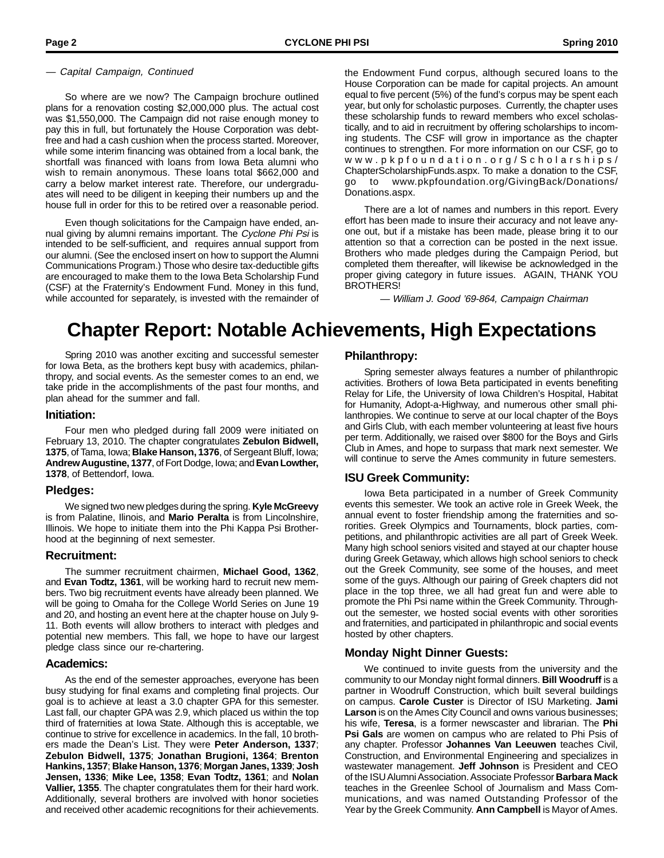So where are we now? The Campaign brochure outlined plans for a renovation costing \$2,000,000 plus. The actual cost was \$1,550,000. The Campaign did not raise enough money to pay this in full, but fortunately the House Corporation was debtfree and had a cash cushion when the process started. Moreover, while some interim financing was obtained from a local bank, the shortfall was financed with loans from Iowa Beta alumni who wish to remain anonymous. These loans total \$662,000 and carry a below market interest rate. Therefore, our undergraduates will need to be diligent in keeping their numbers up and the house full in order for this to be retired over a reasonable period.

Even though solicitations for the Campaign have ended, annual giving by alumni remains important. The Cyclone Phi Psi is intended to be self-sufficient, and requires annual support from our alumni. (See the enclosed insert on how to support the Alumni Communications Program.) Those who desire tax-deductible gifts are encouraged to make them to the Iowa Beta Scholarship Fund (CSF) at the Fraternity's Endowment Fund. Money in this fund, while accounted for separately, is invested with the remainder of

— Capital Campaign, Continued the Endowment Fund corpus, although secured loans to the House Corporation can be made for capital projects. An amount equal to five percent (5%) of the fund's corpus may be spent each year, but only for scholastic purposes. Currently, the chapter uses these scholarship funds to reward members who excel scholastically, and to aid in recruitment by offering scholarships to incoming students. The CSF will grow in importance as the chapter continues to strengthen. For more information on our CSF, go to www.pkpfoundation.org/Scholarships/ ChapterScholarshipFunds.aspx. To make a donation to the CSF, go to www.pkpfoundation.org/GivingBack/Donations/ Donations.aspx.

> There are a lot of names and numbers in this report. Every effort has been made to insure their accuracy and not leave anyone out, but if a mistake has been made, please bring it to our attention so that a correction can be posted in the next issue. Brothers who made pledges during the Campaign Period, but completed them thereafter, will likewise be acknowledged in the proper giving category in future issues. AGAIN, THANK YOU BROTHERS!

> > — William J. Good '69-864, Campaign Chairman

# **Chapter Report: Notable Achievements, High Expectations**

Spring 2010 was another exciting and successful semester for Iowa Beta, as the brothers kept busy with academics, philanthropy, and social events. As the semester comes to an end, we take pride in the accomplishments of the past four months, and plan ahead for the summer and fall.

#### **Initiation:**

Four men who pledged during fall 2009 were initiated on February 13, 2010. The chapter congratulates **Zebulon Bidwell, 1375**, of Tama, Iowa; **Blake Hanson, 1376**, of Sergeant Bluff, Iowa; **Andrew Augustine, 1377**, of Fort Dodge, Iowa; and **Evan Lowther, 1378**, of Bettendorf, Iowa.

### **Pledges:**

We signed two new pledges during the spring. **Kyle McGreevy** is from Palatine, Ilinois, and **Mario Peralta** is from Lincolnshire, Illinois. We hope to initiate them into the Phi Kappa Psi Brotherhood at the beginning of next semester.

### **Recruitment:**

The summer recruitment chairmen, **Michael Good, 1362**, and **Evan Todtz, 1361**, will be working hard to recruit new members. Two big recruitment events have already been planned. We will be going to Omaha for the College World Series on June 19 and 20, and hosting an event here at the chapter house on July 9- 11. Both events will allow brothers to interact with pledges and potential new members. This fall, we hope to have our largest pledge class since our re-chartering.

### **Academics:**

As the end of the semester approaches, everyone has been busy studying for final exams and completing final projects. Our goal is to achieve at least a 3.0 chapter GPA for this semester. Last fall, our chapter GPA was 2.9, which placed us within the top third of fraternities at Iowa State. Although this is acceptable, we continue to strive for excellence in academics. In the fall, 10 brothers made the Dean's List. They were **Peter Anderson, 1337**; **Zebulon Bidwell, 1375**; **Jonathan Brugioni, 1364**; **Brenton Hankins, 1357**; **Blake Hanson, 1376**; **Morgan Janes, 1339**; **Josh Jensen, 1336**; **Mike Lee, 1358**; **Evan Todtz, 1361**; and **Nolan Vallier, 1355**. The chapter congratulates them for their hard work. Additionally, several brothers are involved with honor societies and received other academic recognitions for their achievements.

### **Philanthropy:**

Spring semester always features a number of philanthropic activities. Brothers of Iowa Beta participated in events benefiting Relay for Life, the University of Iowa Children's Hospital, Habitat for Humanity, Adopt-a-Highway, and numerous other small philanthropies. We continue to serve at our local chapter of the Boys and Girls Club, with each member volunteering at least five hours per term. Additionally, we raised over \$800 for the Boys and Girls Club in Ames, and hope to surpass that mark next semester. We will continue to serve the Ames community in future semesters.

### **ISU Greek Community:**

Iowa Beta participated in a number of Greek Community events this semester. We took an active role in Greek Week, the annual event to foster friendship among the fraternities and sororities. Greek Olympics and Tournaments, block parties, competitions, and philanthropic activities are all part of Greek Week. Many high school seniors visited and stayed at our chapter house during Greek Getaway, which allows high school seniors to check out the Greek Community, see some of the houses, and meet some of the guys. Although our pairing of Greek chapters did not place in the top three, we all had great fun and were able to promote the Phi Psi name within the Greek Community. Throughout the semester, we hosted social events with other sororities and fraternities, and participated in philanthropic and social events hosted by other chapters.

### **Monday Night Dinner Guests:**

We continued to invite guests from the university and the community to our Monday night formal dinners. **Bill Woodruff** is a partner in Woodruff Construction, which built several buildings on campus. **Carole Custer** is Director of ISU Marketing. **Jami Larson** is on the Ames City Council and owns various businesses; his wife, **Teresa**, is a former newscaster and librarian. The **Phi Psi Gals** are women on campus who are related to Phi Psis of any chapter. Professor **Johannes Van Leeuwen** teaches Civil, Construction, and Environmental Engineering and specializes in wastewater management. **Jeff Johnson** is President and CEO of the ISU Alumni Association. Associate Professor **Barbara Mack** teaches in the Greenlee School of Journalism and Mass Communications, and was named Outstanding Professor of the Year by the Greek Community. **Ann Campbell** is Mayor of Ames.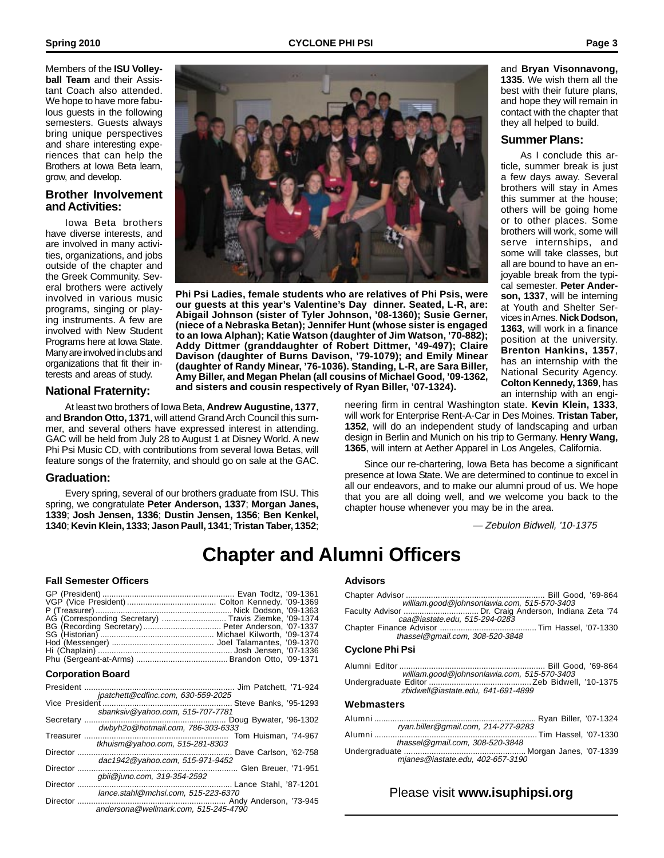Members of the **ISU Volleyball Team** and their Assistant Coach also attended. We hope to have more fabulous guests in the following semesters. Guests always bring unique perspectives and share interesting experiences that can help the Brothers at Iowa Beta learn, grow, and develop.

### **Brother Involvement and Activities:**

Iowa Beta brothers have diverse interests, and are involved in many activities, organizations, and jobs outside of the chapter and the Greek Community. Several brothers were actively involved in various music programs, singing or playing instruments. A few are involved with New Student Programs here at Iowa State. Many are involved in clubs and organizations that fit their interests and areas of study.

**Spring 2010 CYCLONE PHI PSI Page 3**



**Phi Psi Ladies, female students who are relatives of Phi Psis, were our guests at this year's Valentine's Day dinner. Seated, L-R, are: Abigail Johnson (sister of Tyler Johnson, '08-1360); Susie Gerner, (niece of a Nebraska Betan); Jennifer Hunt (whose sister is engaged to an Iowa Alphan); Katie Watson (daughter of Jim Watson, '70-882); Addy Dittmer (granddaughter of Robert Dittmer, '49-497); Claire Davison (daughter of Burns Davison, '79-1079); and Emily Minear (daughter of Randy Minear, '76-1036). Standing, L-R, are Sara Biller, Amy Biller, and Megan Phelan (all cousins of Michael Good, '09-1362, and sisters and cousin respectively of Ryan Biller, '07-1324).**

### **National Fraternity:**

At least two brothers of Iowa Beta, **Andrew Augustine, 1377**, and **Brandon Otto, 1371**, will attend Grand Arch Council this summer, and several others have expressed interest in attending. GAC will be held from July 28 to August 1 at Disney World. A new Phi Psi Music CD, with contributions from several Iowa Betas, will feature songs of the fraternity, and should go on sale at the GAC.

#### **Graduation:**

Every spring, several of our brothers graduate from ISU. This spring, we congratulate **Peter Anderson, 1337**; **Morgan Janes, 1339**; **Josh Jensen, 1336**; **Dustin Jensen, 1356**; **Ben Kenkel, 1340**; **Kevin Klein, 1333**; **Jason Paull, 1341**; **Tristan Taber, 1352**;

neering firm in central Washington state. **Kevin Klein, 1333**, will work for Enterprise Rent-A-Car in Des Moines. **Tristan Taber, 1352**, will do an independent study of landscaping and urban design in Berlin and Munich on his trip to Germany. **Henry Wang, 1365**, will intern at Aether Apparel in Los Angeles, California.

Since our re-chartering, Iowa Beta has become a significant presence at Iowa State. We are determined to continue to excel in all our endeavors, and to make our alumni proud of us. We hope that you are all doing well, and we welcome you back to the chapter house whenever you may be in the area.

— Zebulon Bidwell, '10-1375

# **Chapter and Alumni Officers**

#### **Fall Semester Officers**

| AG (Corresponding Secretary)  Travis Ziemke, '09-1374 |  |
|-------------------------------------------------------|--|
| BG (Recording Secretary)  Peter Anderson, '07-1337    |  |
|                                                       |  |
|                                                       |  |
|                                                       |  |
|                                                       |  |

#### **Corporation Board**

| President       |                                      | Jim Patchett, '71-924  |
|-----------------|--------------------------------------|------------------------|
| Vice President  | jpatchett@cdfinc.com, 630-559-2025   | Steve Banks, '95-1293  |
| Secretary       | sbanksiv@yahoo.com, 515-707-7781     | Doug Bywater, '96-1302 |
|                 | dwbyh2o@hotmail.com, 786-303-6333    |                        |
| Treasurer       | tkhuism@yahoo.com, 515-281-8303      | Tom Huisman, '74-967   |
| Director        |                                      | Dave Carlson, '62-758  |
| <b>Director</b> | dac1942@yahoo.com, 515-971-9452      | Glen Breuer, '71-951   |
|                 | abii@juno.com, 319-354-2592          |                        |
| Director        | lance.stahl@mchsi.com, 515-223-6370  | Lance Stahl, '87-1201. |
| Director        |                                      |                        |
|                 | andersona@wellmark.com, 515-245-4790 |                        |

#### **Advisors**

| william.good@johnsonlawia.com, 515-570-3403                                            |  |
|----------------------------------------------------------------------------------------|--|
| Faculty Advisor  Dr. Craig Anderson, Indiana Zeta '74<br>caa@iastate.edu, 515-294-0283 |  |
| thassel@gmail.com, 308-520-3848                                                        |  |
| <b>Cyclone Phi Psi</b>                                                                 |  |
| william.good@johnsonlawia.com, 515-570-3403                                            |  |
| zbidwell@iastate.edu, 641-691-4899                                                     |  |
| Webmasters                                                                             |  |
| ryan.biller@gmail.com, 214-277-9283                                                    |  |
| thassel@gmail.com, 308-520-3848                                                        |  |
| mjanes@iastate.edu, 402-657-3190                                                       |  |
|                                                                                        |  |

### Please visit **www.isuphipsi.org**

and **Bryan Visonnavong, 1335**. We wish them all the best with their future plans, and hope they will remain in contact with the chapter that they all helped to build.

#### **Summer Plans:**

As I conclude this article, summer break is just a few days away. Several brothers will stay in Ames this summer at the house; others will be going home or to other places. Some brothers will work, some will serve internships, and some will take classes, but all are bound to have an enjoyable break from the typical semester. **Peter Anderson, 1337**, will be interning at Youth and Shelter Services in Ames. **Nick Dodson, 1363**, will work in a finance position at the university. **Brenton Hankins, 1357**, has an internship with the National Security Agency. **Colton Kennedy, 1369**, has an internship with an engi-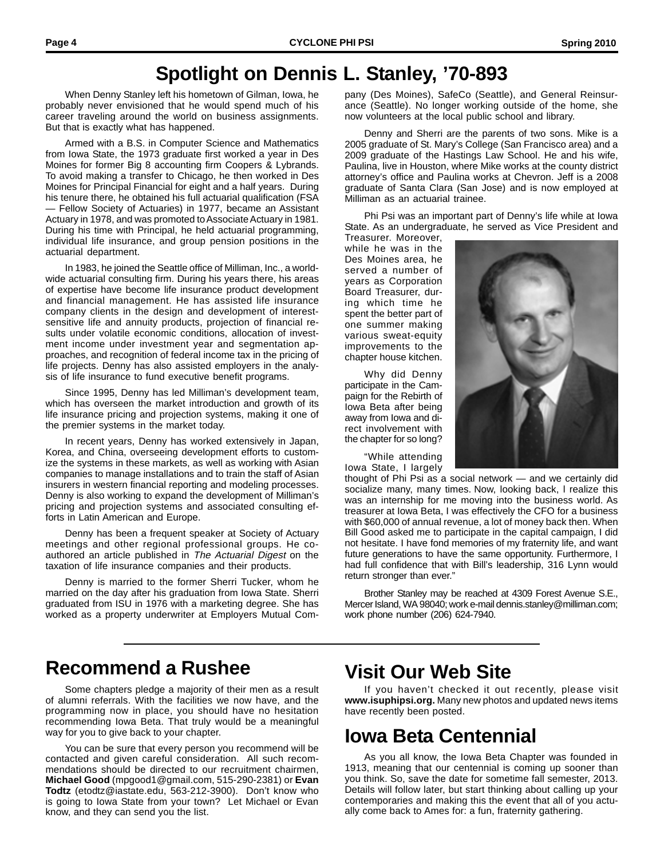## **Spotlight on Dennis L. Stanley, '70-893**

When Denny Stanley left his hometown of Gilman, Iowa, he probably never envisioned that he would spend much of his career traveling around the world on business assignments. But that is exactly what has happened.

Armed with a B.S. in Computer Science and Mathematics from Iowa State, the 1973 graduate first worked a year in Des Moines for former Big 8 accounting firm Coopers & Lybrands. To avoid making a transfer to Chicago, he then worked in Des Moines for Principal Financial for eight and a half years. During his tenure there, he obtained his full actuarial qualification (FSA — Fellow Society of Actuaries) in 1977, became an Assistant Actuary in 1978, and was promoted to Associate Actuary in 1981. During his time with Principal, he held actuarial programming, individual life insurance, and group pension positions in the actuarial department.

In 1983, he joined the Seattle office of Milliman, Inc., a worldwide actuarial consulting firm. During his years there, his areas of expertise have become life insurance product development and financial management. He has assisted life insurance company clients in the design and development of interestsensitive life and annuity products, projection of financial results under volatile economic conditions, allocation of investment income under investment year and segmentation approaches, and recognition of federal income tax in the pricing of life projects. Denny has also assisted employers in the analysis of life insurance to fund executive benefit programs.

Since 1995, Denny has led Milliman's development team, which has overseen the market introduction and growth of its life insurance pricing and projection systems, making it one of the premier systems in the market today.

In recent years, Denny has worked extensively in Japan, Korea, and China, overseeing development efforts to customize the systems in these markets, as well as working with Asian companies to manage installations and to train the staff of Asian insurers in western financial reporting and modeling processes. Denny is also working to expand the development of Milliman's pricing and projection systems and associated consulting efforts in Latin American and Europe.

Denny has been a frequent speaker at Society of Actuary meetings and other regional professional groups. He coauthored an article published in The Actuarial Digest on the taxation of life insurance companies and their products.

Denny is married to the former Sherri Tucker, whom he married on the day after his graduation from Iowa State. Sherri graduated from ISU in 1976 with a marketing degree. She has worked as a property underwriter at Employers Mutual Company (Des Moines), SafeCo (Seattle), and General Reinsurance (Seattle). No longer working outside of the home, she now volunteers at the local public school and library.

Denny and Sherri are the parents of two sons. Mike is a 2005 graduate of St. Mary's College (San Francisco area) and a 2009 graduate of the Hastings Law School. He and his wife, Paulina, live in Houston, where Mike works at the county district attorney's office and Paulina works at Chevron. Jeff is a 2008 graduate of Santa Clara (San Jose) and is now employed at Milliman as an actuarial trainee.

Phi Psi was an important part of Denny's life while at Iowa State. As an undergraduate, he served as Vice President and

Treasurer. Moreover, while he was in the Des Moines area, he served a number of years as Corporation Board Treasurer, during which time he spent the better part of one summer making various sweat-equity improvements to the chapter house kitchen.

Why did Denny participate in the Campaign for the Rebirth of Iowa Beta after being away from Iowa and direct involvement with the chapter for so long?

"While attending Iowa State, I largely

thought of Phi Psi as a social network — and we certainly did

socialize many, many times. Now, looking back, l realize this was an internship for me moving into the business world. As treasurer at Iowa Beta, I was effectively the CFO for a business with \$60,000 of annual revenue, a lot of money back then. When Bill Good asked me to participate in the capital campaign, I did not hesitate. I have fond memories of my fraternity life, and want future generations to have the same opportunity. Furthermore, I had full confidence that with Bill's leadership, 316 Lynn would return stronger than ever."

Brother Stanley may be reached at 4309 Forest Avenue S.E., Mercer Island, WA 98040; work e-mail dennis.stanley@milliman.com; work phone number (206) 624-7940.

### **Recommend a Rushee Visit Our Web Site**

Some chapters pledge a majority of their men as a result of alumni referrals. With the facilities we now have, and the programming now in place, you should have no hesitation recommending Iowa Beta. That truly would be a meaningful way for you to give back to your chapter.

You can be sure that every person you recommend will be contacted and given careful consideration. All such recommendations should be directed to our recruitment chairmen, **Michael Good** (mpgood1@gmail.com, 515-290-2381) or **Evan Todtz** (etodtz@iastate.edu, 563-212-3900). Don't know who is going to Iowa State from your town? Let Michael or Evan know, and they can send you the list.

If you haven't checked it out recently, please visit **www.isuphipsi.org.** Many new photos and updated news items have recently been posted.

# **Iowa Beta Centennial**

As you all know, the Iowa Beta Chapter was founded in 1913, meaning that our centennial is coming up sooner than you think. So, save the date for sometime fall semester, 2013. Details will follow later, but start thinking about calling up your contemporaries and making this the event that all of you actually come back to Ames for: a fun, fraternity gathering.

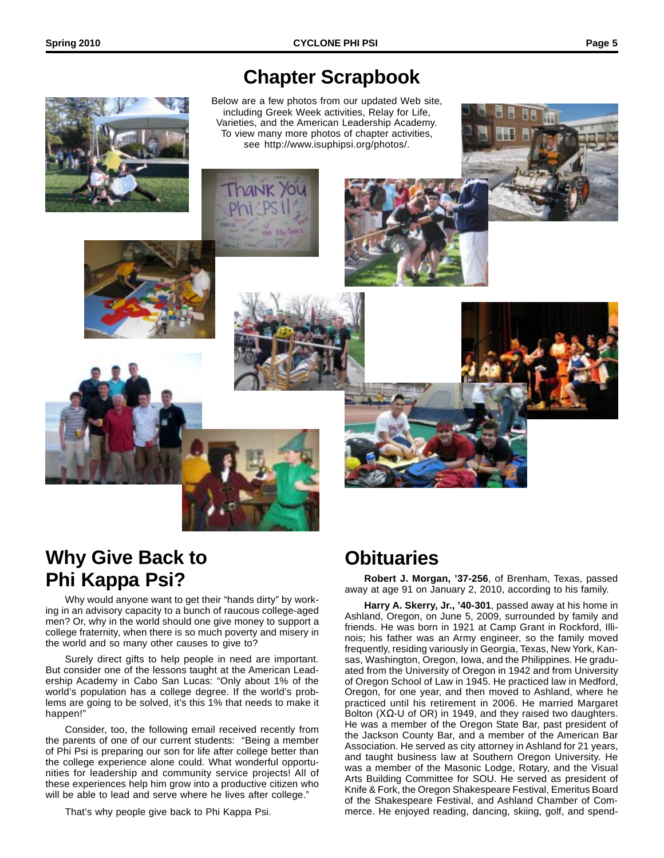## **Chapter Scrapbook**

Below are a few photos from our updated Web site, including Greek Week activities, Relay for Life, Varieties, and the American Leadership Academy. To view many more photos of chapter activities, see http://www.isuphipsi.org/photos/.















# **Why Give Back to Phi Kappa Psi?**

Why would anyone want to get their "hands dirty" by working in an advisory capacity to a bunch of raucous college-aged men? Or, why in the world should one give money to support a college fraternity, when there is so much poverty and misery in the world and so many other causes to give to?

Surely direct gifts to help people in need are important. But consider one of the lessons taught at the American Leadership Academy in Cabo San Lucas: "Only about 1% of the world's population has a college degree. If the world's problems are going to be solved, it's this 1% that needs to make it happen!"

Consider, too, the following email received recently from the parents of one of our current students: "Being a member of Phi Psi is preparing our son for life after college better than the college experience alone could. What wonderful opportunities for leadership and community service projects! All of these experiences help him grow into a productive citizen who will be able to lead and serve where he lives after college."

That's why people give back to Phi Kappa Psi.

# **Obituaries**

**Robert J. Morgan, '37-256**, of Brenham, Texas, passed away at age 91 on January 2, 2010, according to his family.

**Harry A. Skerry, Jr., '40-301**, passed away at his home in Ashland, Oregon, on June 5, 2009, surrounded by family and friends. He was born in 1921 at Camp Grant in Rockford, Illinois; his father was an Army engineer, so the family moved frequently, residing variously in Georgia, Texas, New York, Kansas, Washington, Oregon, Iowa, and the Philippines. He graduated from the University of Oregon in 1942 and from University of Oregon School of Law in 1945. He practiced law in Medford, Oregon, for one year, and then moved to Ashland, where he practiced until his retirement in 2006. He married Margaret Bolton ( $XΩ$ -U of OR) in 1949, and they raised two daughters. He was a member of the Oregon State Bar, past president of the Jackson County Bar, and a member of the American Bar Association. He served as city attorney in Ashland for 21 years, and taught business law at Southern Oregon University. He was a member of the Masonic Lodge, Rotary, and the Visual Arts Building Committee for SOU. He served as president of Knife & Fork, the Oregon Shakespeare Festival, Emeritus Board of the Shakespeare Festival, and Ashland Chamber of Commerce. He enjoyed reading, dancing, skiing, golf, and spend